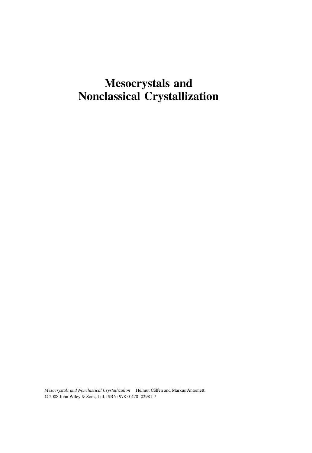### Mesocrystals and Nonclassical Crystallization

*Mesocrystals and Nonclassical Crystallization* Helmut Cölfen and Markus Antonietti © 2008 John Wiley & Sons, Ltd. ISBN: 978-0-470 -02981-7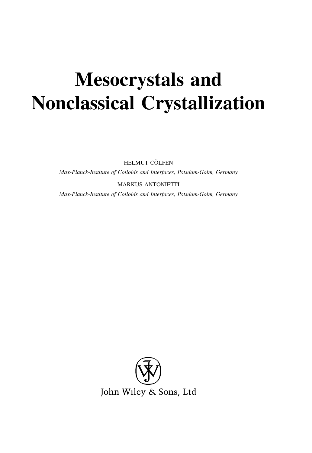# Mesocrystals and Nonclassical Crystallization

HELMUT CÖLFEN

Max-Planck-Institute of Colloids and Interfaces, Potsdam-Golm, Germany

MARKUS ANTONIETTI

Max-Planck-Institute of Colloids and Interfaces, Potsdam-Golm, Germany

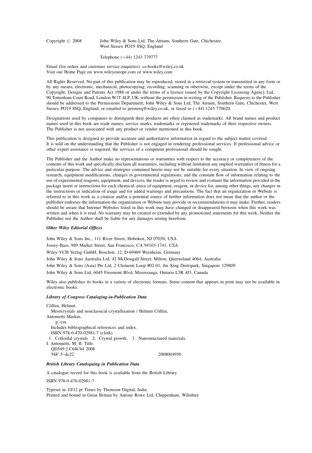Copyright  $\odot$  2008 John Wiley & Sons Ltd, The Atrium, Southern Gate, Chichester, West Sussex PO19 8SQ, England

Telephone (+44) 1243 779777

Email (for orders and customer service enquiries): cs-books@wiley.co.uk Visit our Home Page on www.wileyeurope.com or www.wiley.com

All Rights Reserved. No part of this publication may be reproduced, stored in a retrieval system or transmitted in any form or by any means, electronic, mechanical, photocopying, recording, scanning or otherwise, except under the terms of the Copyright, Designs and Patents Act 1988 or under the terms of a licence issued by the Copyright Licensing Agency Ltd, 90 Tottenham Court Road, London W1T 4LP, UK, without the permission in writing of the Publisher. Requests to the Publisher should be addressed to the Permissions Department, John Wiley & Sons Ltd, The Atrium, Southern Gate, Chichester, West Sussex PO19 8SQ, England, or emailed to permreq@wiley.co.uk, or faxed to  $(+44)$  1243 770620.

Designations used by companies to distinguish their products are often claimed as trademarks. All brand names and product names used in this book are trade names, service marks, trademarks or registered trademarks of their respective owners. The Publisher is not associated with any product or vendor mentioned in this book.

This publication is designed to provide accurate and authoritative information in regard to the subject matter covered. It is sold on the understanding that the Publisher is not engaged in rendering professional services. If professional advice or other expert assistance is required, the services of a competent professional should be sought.

The Publisher and the Author make no representations or warranties with respect to the accuracy or completeness of the contents of this work and specifically disclaim all warranties, including without limitation any implied warranties of fitness for a particular purpose. The advice and strategies contained herein may not be suitable for every situation. In view of ongoing research, equipment modifications, changes in governmental regulations, and the constant flow of information relating to the use of experimental reagents, equipment, and devices, the reader is urged to review and evaluate the information provided in the package insert or instructions for each chemical, piece of equipment, reagent, or device for, among other things, any changes in the instructions or indication of usage and for added warnings and precautions. The fact that an organization or Website is referred to in this work as a citation and/or a potential source of further information does not mean that the author or the publisher endorses the information the organization or Website may provide or recommendations it may make. Further, readers should be aware that Internet Websites listed in this work may have changed or disappeared between when this work was written and when it is read. No warranty may be created or extended by any promotional statements for this work. Neither the Publisher nor the Author shall be liable for any damages arising herefrom.

#### Other Wiley Editorial Offices

John Wiley & Sons Inc., 111 River Street, Hoboken, NJ 07030, USA

Jossey-Bass, 989 Market Street, San Francisco, CA 94103-1741, USA

Wiley-VCH Verlag GmbH, Boschstr. 12, D-69469 Weinheim, Germany

John Wiley & Sons Australia Ltd, 42 McDougall Street, Milton, Queensland 4064, Australia

John Wiley & Sons (Asia) Pte Ltd, 2 Clementi Loop #02-01, Jin Xing Distripark, Singapore 129809

John Wiley & Sons Ltd, 6045 Freemont Blvd, Mississauga, Ontario L5R 4J3, Canada

Wiley also publishes its books in a variety of electronic formats. Some content that appears in print may not be available in electronic books.

#### Library of Congress Cataloging-in-Publication Data

Cölfen, Helmut. Mesocrystals and nonclassical crystallization / Helmut Cölfen, Antonietti Markus. p. cm. Includes bibliographical references and index. ISBN 978-0-470-02981-7 (cloth) 1. Colloidal crystals 2. Crystal growth. 3. Nanostructured materials. I. Antonietti, M. II. Title. QD549.2.C64C64 2008 548'.5–dc22 2008004950

#### British Library Cataloguing in Publication Data

A catalogue record for this book is available from the British Library

ISBN 978-0-470-02981-7

Typeset in 10/12 pt Times by Thomson Digital, India Printed and bound in Great Britain by Antony Rowe Ltd, Chippenham, Wiltshire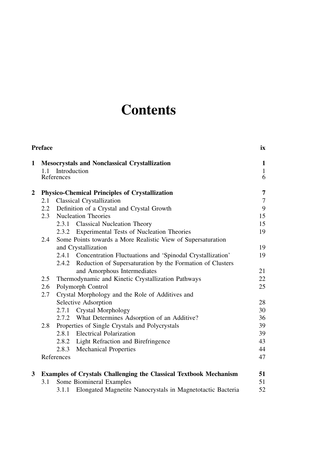# **Contents**

|                | <b>Preface</b>                                                                         |                                                                     |                                                                 |          |  |  |
|----------------|----------------------------------------------------------------------------------------|---------------------------------------------------------------------|-----------------------------------------------------------------|----------|--|--|
| 1              | <b>Mesocrystals and Nonclassical Crystallization</b><br>1.1 Introduction<br>References |                                                                     |                                                                 |          |  |  |
|                |                                                                                        |                                                                     |                                                                 |          |  |  |
| $\overline{2}$ |                                                                                        | <b>Physico-Chemical Principles of Crystallization</b>               |                                                                 |          |  |  |
|                | 2.1                                                                                    |                                                                     | <b>Classical Crystallization</b>                                | $\tau$   |  |  |
|                | 2.2                                                                                    |                                                                     | Definition of a Crystal and Crystal Growth                      | 9        |  |  |
|                | $2.3^{\circ}$                                                                          |                                                                     | <b>Nucleation Theories</b>                                      | 15       |  |  |
|                |                                                                                        |                                                                     | 2.3.1 Classical Nucleation Theory                               | 15       |  |  |
|                |                                                                                        | 2.3.2                                                               | Experimental Tests of Nucleation Theories                       | 19       |  |  |
|                | 2.4                                                                                    |                                                                     | Some Points towards a More Realistic View of Supersaturation    |          |  |  |
|                |                                                                                        |                                                                     | and Crystallization                                             | 19       |  |  |
|                |                                                                                        |                                                                     | 2.4.1 Concentration Fluctuations and 'Spinodal Crystallization' | 19       |  |  |
|                |                                                                                        | 2.4.2                                                               | Reduction of Supersaturation by the Formation of Clusters       |          |  |  |
|                |                                                                                        |                                                                     | and Amorphous Intermediates                                     | 21       |  |  |
|                |                                                                                        | Thermodynamic and Kinetic Crystallization Pathways<br>$2.5^{\circ}$ |                                                                 | 22<br>25 |  |  |
|                | 2.6                                                                                    | Polymorph Control                                                   |                                                                 |          |  |  |
|                | 2.7                                                                                    | Crystal Morphology and the Role of Additives and                    |                                                                 |          |  |  |
|                |                                                                                        |                                                                     | Selective Adsorption                                            | 28       |  |  |
|                |                                                                                        |                                                                     | 2.7.1 Crystal Morphology                                        | 30       |  |  |
|                |                                                                                        |                                                                     | 2.7.2 What Determines Adsorption of an Additive?                | 36       |  |  |
|                | 2.8                                                                                    |                                                                     | Properties of Single Crystals and Polycrystals                  | 39       |  |  |
|                |                                                                                        |                                                                     | 2.8.1 Electrical Polarization                                   | 39       |  |  |
|                |                                                                                        |                                                                     | 2.8.2 Light Refraction and Birefringence                        | 43       |  |  |
|                |                                                                                        | 2.8.3                                                               | <b>Mechanical Properties</b>                                    | 44       |  |  |
|                |                                                                                        | References                                                          |                                                                 | 47       |  |  |
| 3              | <b>Examples of Crystals Challenging the Classical Textbook Mechanism</b>               |                                                                     |                                                                 |          |  |  |
|                | 3.1                                                                                    |                                                                     | Some Biomineral Examples                                        | 51       |  |  |
|                |                                                                                        | 3.1.1                                                               | Elongated Magnetite Nanocrystals in Magnetotactic Bacteria      | 52       |  |  |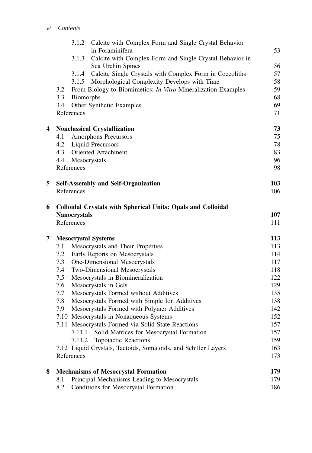|   | Calcite with Complex Form and Single Crystal Behavior<br>3.1.2                                     |            |  |  |
|---|----------------------------------------------------------------------------------------------------|------------|--|--|
|   | in Foraminifera                                                                                    | 53         |  |  |
|   | 3.1.3<br>Calcite with Complex Form and Single Crystal Behavior in                                  |            |  |  |
|   | Sea Urchin Spines                                                                                  | 56         |  |  |
|   | Calcite Single Crystals with Complex Form in Coccoliths<br>3.1.4                                   | 57         |  |  |
|   | Morphological Complexity Develops with Time<br>3.1.5                                               | 58         |  |  |
|   | From Biology to Biomimetics: In Vitro Mineralization Examples<br>3.2                               | 59         |  |  |
|   | 3.3<br><b>Biomorphs</b>                                                                            | 68         |  |  |
|   | 3.4<br>Other Synthetic Examples<br>References                                                      | 69<br>71   |  |  |
| 4 | <b>Nonclassical Crystallization</b>                                                                | 73         |  |  |
|   | Amorphous Precursors<br>4.1                                                                        | 75         |  |  |
|   | 4.2<br><b>Liquid Precursors</b>                                                                    | 78         |  |  |
|   | Oriented Attachment<br>4.3                                                                         | 83         |  |  |
|   | 4.4<br>Mesocrystals                                                                                | 96         |  |  |
|   | References                                                                                         | 98         |  |  |
| 5 | <b>Self-Assembly and Self-Organization</b>                                                         | 103        |  |  |
|   | References                                                                                         | 106        |  |  |
| 6 | <b>Colloidal Crystals with Spherical Units: Opals and Colloidal</b>                                |            |  |  |
|   | <b>Nanocrystals</b>                                                                                |            |  |  |
|   | References                                                                                         | 107<br>111 |  |  |
| 7 | <b>Mesocrystal Systems</b>                                                                         | 113        |  |  |
|   | Mesocrystals and Their Properties<br>7.1                                                           | 113        |  |  |
|   | 7.2<br>Early Reports on Mesocrystals                                                               | 114        |  |  |
|   | 7.3<br>One-Dimensional Mesocrystals                                                                | 117        |  |  |
|   | 7.4<br>Two-Dimensional Mesocrystals                                                                | 118        |  |  |
|   | 7.5<br>Mesocrystals in Biomineralization                                                           | 122        |  |  |
|   | 7.6<br>Mesocrystals in Gels                                                                        | 129        |  |  |
|   | 7.7<br>Mesocrystals Formed without Additives                                                       | 135        |  |  |
|   | 7.8<br>Mesocrystals Formed with Simple Ion Additives                                               | 138        |  |  |
|   | 7.9<br>Mesocrystals Formed with Polymer Additives                                                  | 142        |  |  |
|   | 7.10 Mesocrystals in Nonaqueous Systems                                                            | 152        |  |  |
|   | 7.11 Mesocrystals Formed via Solid-State Reactions                                                 | 157        |  |  |
|   | 7.11.1 Solid Matrices for Mesocrystal Formation                                                    | 157        |  |  |
|   | <b>Topotactic Reactions</b><br>7.11.2                                                              | 159        |  |  |
|   | 7.12 Liquid Crystals, Tactoids, Somatoids, and Schiller Layers                                     | 163        |  |  |
|   | References                                                                                         | 173        |  |  |
| 8 | <b>Mechanisms of Mesocrystal Formation</b>                                                         |            |  |  |
|   |                                                                                                    |            |  |  |
|   | Principal Mechanisms Leading to Mesocrystals<br>8.1<br>8.2<br>Conditions for Mesocrystal Formation | 179        |  |  |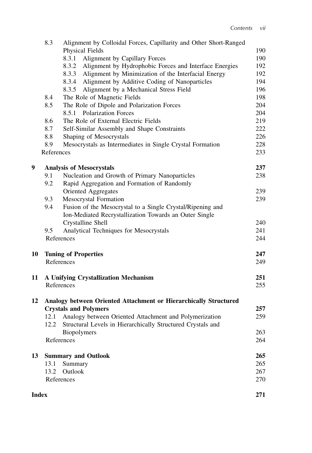|       | 8.3                                  | Alignment by Colloidal Forces, Capillarity and Other Short-Ranged |     |  |  |
|-------|--------------------------------------|-------------------------------------------------------------------|-----|--|--|
|       |                                      | Physical Fields                                                   | 190 |  |  |
|       |                                      | 8.3.1<br>Alignment by Capillary Forces                            | 190 |  |  |
|       |                                      | 8.3.2 Alignment by Hydrophobic Forces and Interface Energies      | 192 |  |  |
|       |                                      | 8.3.3 Alignment by Minimization of the Interfacial Energy         | 192 |  |  |
|       |                                      | 8.3.4 Alignment by Additive Coding of Nanoparticles               | 194 |  |  |
|       |                                      | 8.3.5 Alignment by a Mechanical Stress Field                      | 196 |  |  |
|       | 8.4                                  | The Role of Magnetic Fields                                       | 198 |  |  |
|       | 8.5                                  | The Role of Dipole and Polarization Forces                        | 204 |  |  |
|       |                                      | <b>Polarization Forces</b><br>8.5.1                               | 204 |  |  |
|       | 8.6                                  | The Role of External Electric Fields                              | 219 |  |  |
|       | 8.7                                  | Self-Similar Assembly and Shape Constraints                       | 222 |  |  |
|       | 8.8                                  | Shaping of Mesocrystals                                           | 226 |  |  |
|       | 8.9                                  | Mesocrystals as Intermediates in Single Crystal Formation         | 228 |  |  |
|       | References                           |                                                                   | 233 |  |  |
| 9     |                                      | <b>Analysis of Mesocrystals</b>                                   | 237 |  |  |
|       | 9.1                                  | Nucleation and Growth of Primary Nanoparticles                    | 238 |  |  |
|       | 9.2                                  | Rapid Aggregation and Formation of Randomly                       |     |  |  |
|       |                                      | Oriented Aggregates                                               | 239 |  |  |
|       | 9.3                                  | <b>Mesocrystal Formation</b>                                      | 239 |  |  |
|       | 9.4                                  | Fusion of the Mesocrystal to a Single Crystal/Ripening and        |     |  |  |
|       |                                      | Ion-Mediated Recrystallization Towards an Outer Single            |     |  |  |
|       |                                      | Crystalline Shell                                                 | 240 |  |  |
|       | 9.5                                  | Analytical Techniques for Mesocrystals                            | 241 |  |  |
|       |                                      | References                                                        | 244 |  |  |
| 10    |                                      | <b>Tuning of Properties</b>                                       | 247 |  |  |
|       |                                      | References                                                        | 249 |  |  |
|       |                                      |                                                                   |     |  |  |
| 11    | A Unifying Crystallization Mechanism |                                                                   |     |  |  |
|       |                                      | References                                                        | 255 |  |  |
| 12    |                                      | Analogy between Oriented Attachment or Hierarchically Structured  |     |  |  |
|       |                                      | <b>Crystals and Polymers</b>                                      | 257 |  |  |
|       | 12.1                                 | Analogy between Oriented Attachment and Polymerization            | 259 |  |  |
|       | 12.2                                 | Structural Levels in Hierarchically Structured Crystals and       |     |  |  |
|       |                                      | Biopolymers                                                       | 263 |  |  |
|       |                                      | References                                                        | 264 |  |  |
| 13    |                                      | <b>Summary and Outlook</b>                                        | 265 |  |  |
|       | 13.1                                 | Summary                                                           | 265 |  |  |
|       | 13.2                                 | Outlook                                                           | 267 |  |  |
|       |                                      | References                                                        | 270 |  |  |
| Index |                                      |                                                                   |     |  |  |
|       |                                      |                                                                   | 271 |  |  |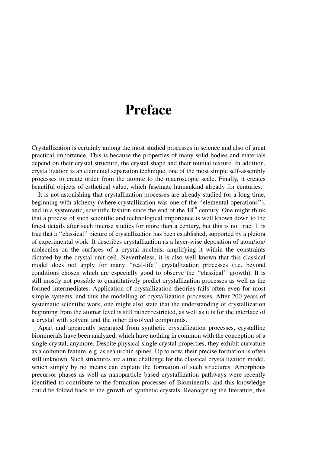## Preface

Crystallization is certainly among the most studied processes in science and also of great practical importance. This is because the properties of many solid bodies and materials depend on their crystal structure, the crystal shape and their mutual texture. In addition, crystallization is an elemental separation technique, one of the most simple self-assembly processes to create order from the atomic to the macroscopic scale. Finally, it creates beautiful objects of esthetical value, which fascinate humankind already for centuries.

It is not astonishing that crystallization processes are already studied for a long time, beginning with alchemy (where crystallization was one of the ''elemental operations''), and in a systematic, scientific fashion since the end of the  $18<sup>th</sup>$  century. One might think that a process of such scientific and technological importance is well known down to the finest details after such intense studies for more than a century, but this is not true. It is true that a ''classical'' picture of crystallization has been established, supported by a pleiora of experimental work. It describes crystallization as a layer-wise deposition of atom/ion/ molecules on the surfaces of a crystal nucleus, amplifying it within the constraints dictated by the crystal unit cell. Nevertheless, it is also well known that this classical model does not apply for many ''real-life'' crystallization processes (i.e. beyond conditions chosen which are especially good to observe the ''classical'' growth). It is still mostly not possible to quantitatively predict crystallization processes as well as the formed intermediates. Application of crystallization theories fails often even for most simple systems, and thus the modelling of crystallization processes. After 200 years of systematic scientific work, one might also state that the understanding of crystallization beginning from the atomar level is still rather restricted, as well as it is for the interface of a crystal with solvent and the other dissolved compounds.

Apart and apparently separated from synthetic crystallization processes, crystalline biominerals have been analyzed, which have nothing in common with the conception of a single crystal, anymore. Despite physical single crystal properties, they exhibit curvature as a common feature, e.g. as sea urchin spines. Up to now, their precise formation is often still unknown. Such structures are a true challenge for the classical crystallization model, which simply by no means can explain the formation of such structures. Amorphous precursor phases as well as nanoparticle based crystallization pathways were recently identified to contribute to the formation processes of Biominerals, and this knowledge could be folded back to the growth of synthetic crystals. Reanalyzing the literature, this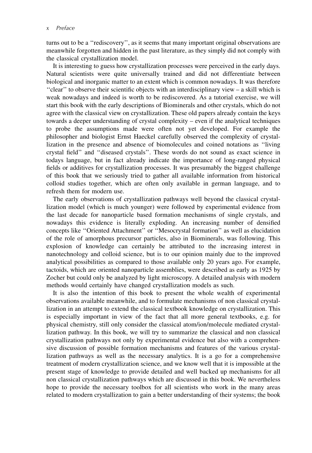turns out to be a ''rediscovery'', as it seems that many important original observations are meanwhile forgotten and hidden in the past literature, as they simply did not comply with the classical crystallization model.

It is interesting to guess how crystallization processes were perceived in the early days. Natural scientists were quite universally trained and did not differentiate between biological and inorganic matter to an extent which is common nowadays. It was therefore ''clear'' to observe their scientific objects with an interdisciplinary view – a skill which is weak nowadays and indeed is worth to be rediscovered. As a tutorial exercise, we will start this book with the early descriptions of Biominerals and other crystals, which do not agree with the classical view on crystallization. These old papers already contain the keys towards a deeper understanding of crystal complexity – even if the analytical techniques to probe the assumptions made were often not yet developed. For example the philosopher and biologist Ernst Haeckel carefully observed the complexity of crystallization in the presence and absence of biomolecules and coined notations as ''living crystal field'' and ''diseased crystals''. These words do not sound as exact science in todays language, but in fact already indicate the importance of long-ranged physical fields or additives for crystallization processes. It was presumably the biggest challenge of this book that we seriously tried to gather all available information from historical colloid studies together, which are often only available in german language, and to refresh them for modern use.

The early observations of crystallization pathways well beyond the classical crystallization model (which is much younger) were followed by experimental evidence from the last decade for nanoparticle based formation mechanisms of single crystals, and nowadays this evidence is literally exploding. An increasing number of densified concepts like ''Oriented Attachment'' or ''Mesocrystal formation'' as well as elucidation of the role of amorphous precursor particles, also in Biominerals, was following. This explosion of knowledge can certainly be attributed to the increasing interest in nanotechnology and colloid science, but is to our opinion mainly due to the improved analytical possibilities as compared to those available only 20 years ago. For example, tactoids, which are oriented nanoparticle assemblies, were described as early as 1925 by Zocher but could only be analyzed by light microscopy. A detailed analysis with modern methods would certainly have changed crystallization models as such.

It is also the intention of this book to present the whole wealth of experimental observations available meanwhile, and to formulate mechanisms of non classical crystallization in an attempt to extend the classical textbook knowledge on crystallization. This is especially important in view of the fact that all more general textbooks, e.g. for physical chemistry, still only consider the classical atom/ion/molecule mediated crystallization pathway. In this book, we will try to summarize the classical and non classical crystallization pathways not only by experimental evidence but also with a comprehensive discussion of possible formation mechanisms and features of the various crystallization pathways as well as the necessary analytics. It is a go for a comprehensive treatment of modern crystallization science, and we know well that it is impossible at the present stage of knowledge to provide detailed and well backed up mechanisms for all non classical crystallization pathways which are discussed in this book. We nevertheless hope to provide the necessary toolbox for all scientists who work in the many areas related to modern crystallization to gain a better understanding of their systems; the book